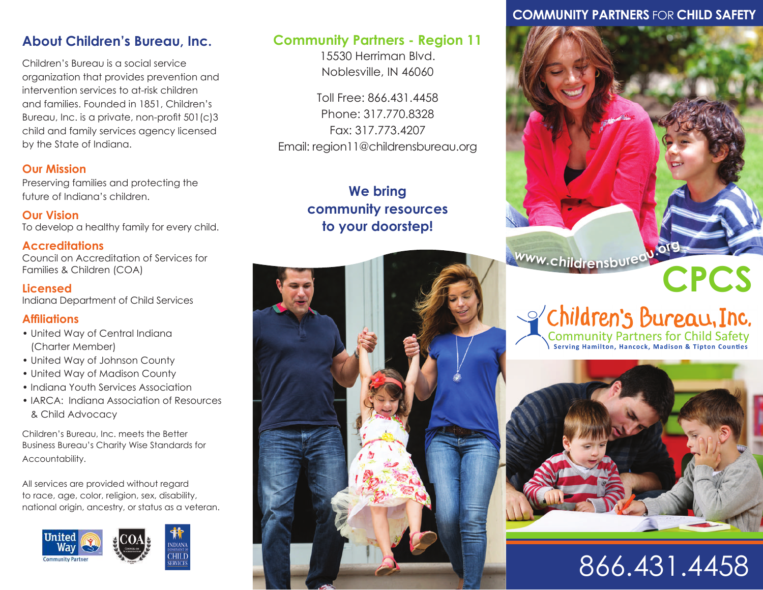# **About Children's Bureau, Inc.**

Children's Bureau is a social service organization that provides prevention and intervention services to at-risk children and families. Founded in 1851, Children's Bureau, Inc. is a private, non-profit 501(c)3 child and family services agency licensed by the State of Indiana.

#### **Our Mission**

Preserving families and protecting the future of Indiana's children.

**Our Vision** To develop a healthy family for every child.

#### **Accreditations**

Council on Accreditation of Services for Families & Children (COA)

#### **Licensed**

Indiana Department of Child Services

#### **Affiliations**

- United Way of Central Indiana (Charter Member)
- United Way of Johnson County
- United Way of Madison County
- Indiana Youth Services Association
- IARCA: Indiana Association of Resources & Child Advocacy

Children's Bureau, Inc. meets the Better Business Bureau's Charity Wise Standards for Accountability.

All services are provided without regard to race, age, color, religion, sex, disability, national origin, ancestry, or status as a veteran.



### **Community Partners - Region 11**

15530 Herriman Blvd. Noblesville, IN 46060

Toll Free: 866.431.4458 Phone: 317.770.8328 Fax: 317.773.4207 Email: region11@childrensbureau.org

# **We bring community resources to your doorstep!**



# **COMMUNITY PARTNERS** FOR **CHILD SAFETY**



Community Partners for Child Safety



# 866.431.4458